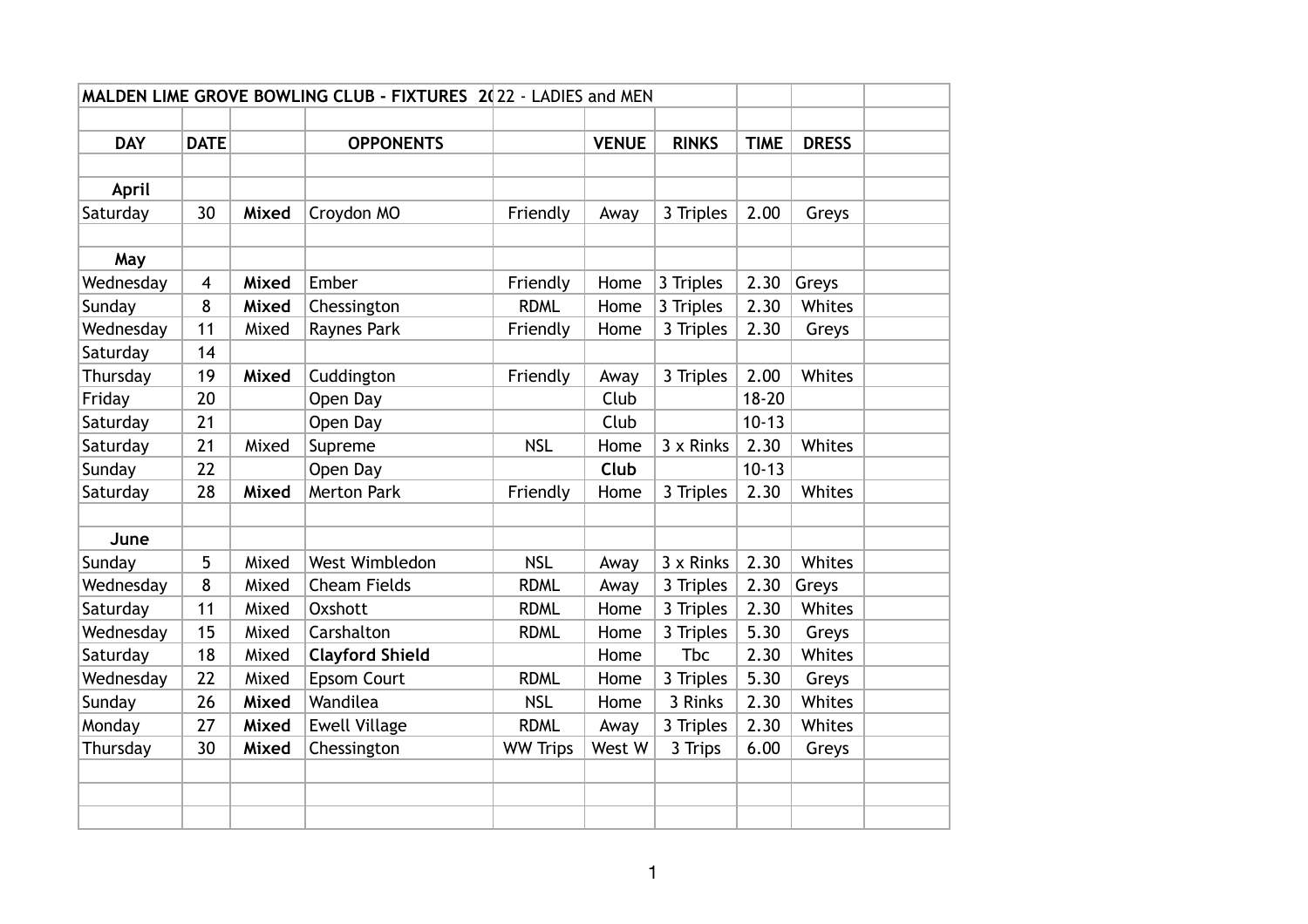| MALDEN LIME GROVE BOWLING CLUB - FIXTURES 2022 - LADIES and MEN |                |       |                        |                 |              |              |             |              |  |
|-----------------------------------------------------------------|----------------|-------|------------------------|-----------------|--------------|--------------|-------------|--------------|--|
|                                                                 |                |       |                        |                 |              |              |             |              |  |
| <b>DAY</b>                                                      | <b>DATE</b>    |       | <b>OPPONENTS</b>       |                 | <b>VENUE</b> | <b>RINKS</b> | <b>TIME</b> | <b>DRESS</b> |  |
|                                                                 |                |       |                        |                 |              |              |             |              |  |
| April                                                           |                |       |                        |                 |              |              |             |              |  |
| Saturday                                                        | 30             | Mixed | Croydon MO             | Friendly        | Away         | 3 Triples    | 2.00        | Greys        |  |
|                                                                 |                |       |                        |                 |              |              |             |              |  |
| May                                                             |                |       |                        |                 |              |              |             |              |  |
| Wednesday                                                       | $\overline{4}$ | Mixed | Ember                  | Friendly        | Home         | 3 Triples    | 2.30        | Greys        |  |
| Sunday                                                          | 8              | Mixed | Chessington            | <b>RDML</b>     | Home         | 3 Triples    | 2.30        | Whites       |  |
| Wednesday                                                       | 11             | Mixed | Raynes Park            | Friendly        | Home         | 3 Triples    | 2.30        | Greys        |  |
| Saturday                                                        | 14             |       |                        |                 |              |              |             |              |  |
| Thursday                                                        | 19             | Mixed | Cuddington             | Friendly        | Away         | 3 Triples    | 2.00        | Whites       |  |
| Friday                                                          | 20             |       | Open Day               |                 | Club         |              | $18 - 20$   |              |  |
| Saturday                                                        | 21             |       | Open Day               |                 | Club         |              | $10 - 13$   |              |  |
| Saturday                                                        | 21             | Mixed | Supreme                | <b>NSL</b>      | Home         | 3 x Rinks    | 2.30        | Whites       |  |
| Sunday                                                          | 22             |       | Open Day               |                 | Club         |              | $10 - 13$   |              |  |
| Saturday                                                        | 28             | Mixed | <b>Merton Park</b>     | Friendly        | Home         | 3 Triples    | 2.30        | Whites       |  |
|                                                                 |                |       |                        |                 |              |              |             |              |  |
| June                                                            |                |       |                        |                 |              |              |             |              |  |
| Sunday                                                          | 5              | Mixed | West Wimbledon         | <b>NSL</b>      | Away         | 3 x Rinks    | 2.30        | Whites       |  |
| Wednesday                                                       | 8              | Mixed | <b>Cheam Fields</b>    | <b>RDML</b>     | Away         | 3 Triples    | 2.30        | Greys        |  |
| Saturday                                                        | 11             | Mixed | Oxshott                | <b>RDML</b>     | Home         | 3 Triples    | 2.30        | Whites       |  |
| Wednesday                                                       | 15             | Mixed | Carshalton             | <b>RDML</b>     | Home         | 3 Triples    | 5.30        | Greys        |  |
| Saturday                                                        | 18             | Mixed | <b>Clayford Shield</b> |                 | Home         | <b>Tbc</b>   | 2.30        | Whites       |  |
| Wednesday                                                       | 22             | Mixed | <b>Epsom Court</b>     | <b>RDML</b>     | Home         | 3 Triples    | 5.30        | Greys        |  |
| Sunday                                                          | 26             | Mixed | Wandilea               | <b>NSL</b>      | Home         | 3 Rinks      | 2.30        | Whites       |  |
| Monday                                                          | 27             | Mixed | <b>Ewell Village</b>   | <b>RDML</b>     | Away         | 3 Triples    | 2.30        | Whites       |  |
| Thursday                                                        | 30             | Mixed | Chessington            | <b>WW Trips</b> | West W       | 3 Trips      | 6.00        | Greys        |  |
|                                                                 |                |       |                        |                 |              |              |             |              |  |
|                                                                 |                |       |                        |                 |              |              |             |              |  |
|                                                                 |                |       |                        |                 |              |              |             |              |  |